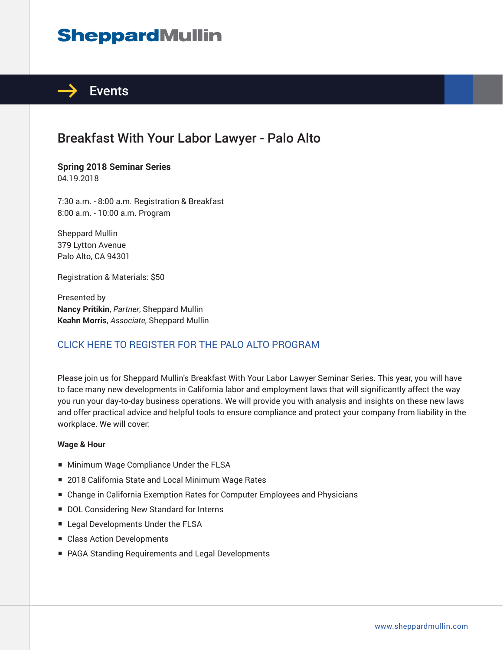# **SheppardMullin**



## Breakfast With Your Labor Lawyer - Palo Alto

**Spring 2018 Seminar Series** 04.19.2018

7:30 a.m. - 8:00 a.m. Registration & Breakfast 8:00 a.m. - 10:00 a.m. Program

Sheppard Mullin 379 Lytton Avenue Palo Alto, CA 94301

Registration & Materials: \$50

Presented by **Nancy Pritikin**, *Partner*, Sheppard Mullin **Keahn Morris**, *Associate*, Sheppard Mullin

#### CLICK HERE TO REGISTER FOR THE PALO ALTO PROGRAM

Please join us for Sheppard Mullin's Breakfast With Your Labor Lawyer Seminar Series. This year, you will have to face many new developments in California labor and employment laws that will significantly affect the way you run your day-to-day business operations. We will provide you with analysis and insights on these new laws and offer practical advice and helpful tools to ensure compliance and protect your company from liability in the workplace. We will cover:

#### **Wage & Hour**

- Minimum Wage Compliance Under the FLSA
- 2018 California State and Local Minimum Wage Rates
- Change in California Exemption Rates for Computer Employees and Physicians
- DOL Considering New Standard for Interns
- Legal Developments Under the FLSA
- Class Action Developments
- PAGA Standing Requirements and Legal Developments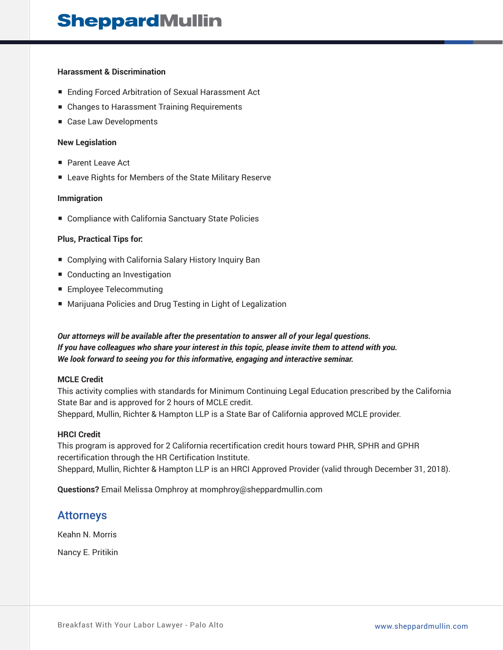#### **Harassment & Discrimination**

- Ending Forced Arbitration of Sexual Harassment Act
- Changes to Harassment Training Requirements
- Case Law Developments

#### **New Legislation**

- Parent Leave Act
- Leave Rights for Members of the State Military Reserve

#### **Immigration**

■ Compliance with California Sanctuary State Policies

#### **Plus, Practical Tips for:**

- Complying with California Salary History Inquiry Ban
- Conducting an Investigation
- Employee Telecommuting
- Marijuana Policies and Drug Testing in Light of Legalization

#### *Our attorneys will be available after the presentation to answer all of your legal questions. If you have colleagues who share your interest in this topic, please invite them to attend with you. We look forward to seeing you for this informative, engaging and interactive seminar.*

#### **MCLE Credit**

This activity complies with standards for Minimum Continuing Legal Education prescribed by the California State Bar and is approved for 2 hours of MCLE credit. Sheppard, Mullin, Richter & Hampton LLP is a State Bar of California approved MCLE provider.

#### **HRCI Credit**

This program is approved for 2 California recertification credit hours toward PHR, SPHR and GPHR recertification through the HR Certification Institute. Sheppard, Mullin, Richter & Hampton LLP is an HRCI Approved Provider (valid through December 31, 2018).

**Questions?** Email Melissa Omphroy at momphroy@sheppardmullin.com

### Attorneys

Keahn N. Morris

Nancy E. Pritikin